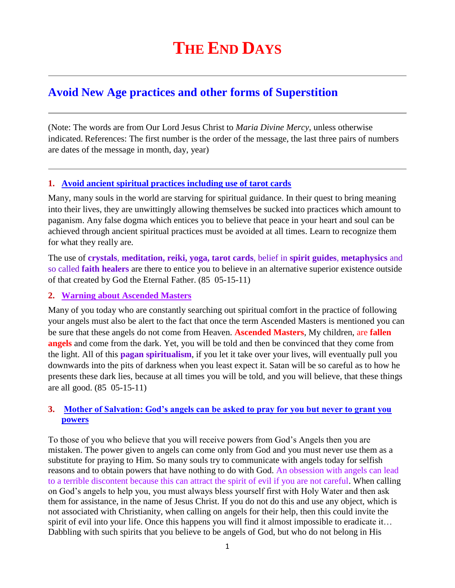# **Avoid New Age practices and other forms of Superstition**

(Note: The words are from Our Lord Jesus Christ to *Maria Divine Mercy*, unless otherwise indicated. References: The first number is the order of the message, the last three pairs of numbers are dates of the message in month, day, year)

# **1. Avoid ancient spiritual practices including use of tarot cards**

Many, many souls in the world are starving for spiritual guidance. In their quest to bring meaning into their lives, they are unwittingly allowing themselves be sucked into practices which amount to paganism. Any false dogma which entices you to believe that peace in your heart and soul can be achieved through ancient spiritual practices must be avoided at all times. Learn to recognize them for what they really are.

The use of **crystals**, **meditation, reiki, yoga, tarot cards**, belief in **spirit guides**, **metaphysics** and so called **faith healers** are there to entice you to believe in an alternative superior existence outside of that created by God the Eternal Father. (85 05-15-11)

### **2. Warning about Ascended Masters**

Many of you today who are constantly searching out spiritual comfort in the practice of following your angels must also be alert to the fact that once the term Ascended Masters is mentioned you can be sure that these angels do not come from Heaven. **Ascended Masters**, My children, are **fallen angels** and come from the dark. Yet, you will be told and then be convinced that they come from the light. All of this **pagan spiritualism**, if you let it take over your lives, will eventually pull you downwards into the pits of darkness when you least expect it. Satan will be so careful as to how he presents these dark lies, because at all times you will be told, and you will believe, that these things are all good. (85 05-15-11)

# **3. [Mother of Salvation: God's angels can be asked to pray for you but never to grant you](http://www.thewarningsecondcoming.com/mother-of-salvation-gods-angels-can-be-asked-to-pray-for-you-but-never-to-grant-you-powers/)  [powers](http://www.thewarningsecondcoming.com/mother-of-salvation-gods-angels-can-be-asked-to-pray-for-you-but-never-to-grant-you-powers/)**

To those of you who believe that you will receive powers from God's Angels then you are mistaken. The power given to angels can come only from God and you must never use them as a substitute for praying to Him. So many souls try to communicate with angels today for selfish reasons and to obtain powers that have nothing to do with God. An obsession with angels can lead to a terrible discontent because this can attract the spirit of evil if you are not careful. When calling on God's angels to help you, you must always bless yourself first with Holy Water and then ask them for assistance, in the name of Jesus Christ. If you do not do this and use any object, which is not associated with Christianity, when calling on angels for their help, then this could invite the spirit of evil into your life. Once this happens you will find it almost impossible to eradicate it… Dabbling with such spirits that you believe to be angels of God, but who do not belong in His